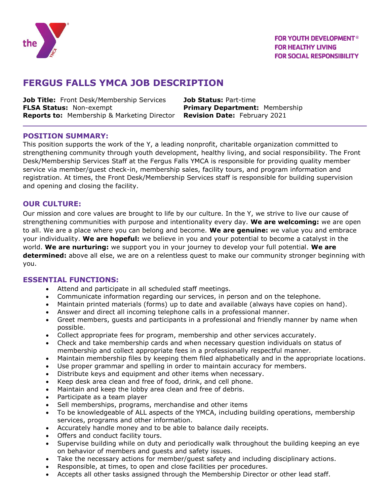

# **FERGUS FALLS YMCA JOB DESCRIPTION**

**Job Title:** Front Desk/Membership Services **Job Status:** Part-time **FLSA Status:** Non-exempt **Primary Department:** Membership **Reports to:** Membership & Marketing Director **Revision Date:** February 2021

#### **POSITION SUMMARY:**

This position supports the work of the Y, a leading nonprofit, charitable organization committed to strengthening community through youth development, healthy living, and social responsibility. The Front Desk/Membership Services Staff at the Fergus Falls YMCA is responsible for providing quality member service via member/guest check-in, membership sales, facility tours, and program information and registration. At times, the Front Desk/Membership Services staff is responsible for building supervision and opening and closing the facility.

# **OUR CULTURE:**

Our mission and core values are brought to life by our culture. In the Y, we strive to live our cause of strengthening communities with purpose and intentionality every day. **We are welcoming:** we are open to all. We are a place where you can belong and become. **We are genuine:** we value you and embrace your individuality. **We are hopeful:** we believe in you and your potential to become a catalyst in the world. **We are nurturing:** we support you in your journey to develop your full potential. **We are determined:** above all else, we are on a relentless quest to make our community stronger beginning with you.

# **ESSENTIAL FUNCTIONS:**

- Attend and participate in all scheduled staff meetings.
- Communicate information regarding our services, in person and on the telephone.
- Maintain printed materials (forms) up to date and available (always have copies on hand).
- Answer and direct all incoming telephone calls in a professional manner.
- Greet members, guests and participants in a professional and friendly manner by name when possible.
- Collect appropriate fees for program, membership and other services accurately.
- Check and take membership cards and when necessary question individuals on status of membership and collect appropriate fees in a professionally respectful manner.
- Maintain membership files by keeping them filed alphabetically and in the appropriate locations.
- Use proper grammar and spelling in order to maintain accuracy for members.
- Distribute keys and equipment and other items when necessary.
- Keep desk area clean and free of food, drink, and cell phone.
- Maintain and keep the lobby area clean and free of debris.
- Participate as a team player
- Sell memberships, programs, merchandise and other items
- To be knowledgeable of ALL aspects of the YMCA, including building operations, membership services, programs and other information.
- Accurately handle money and to be able to balance daily receipts.
- Offers and conduct facility tours.
- Supervise building while on duty and periodically walk throughout the building keeping an eye on behavior of members and guests and safety issues.
- Take the necessary actions for member/guest safety and including disciplinary actions.
- Responsible, at times, to open and close facilities per procedures.
- Accepts all other tasks assigned through the Membership Director or other lead staff.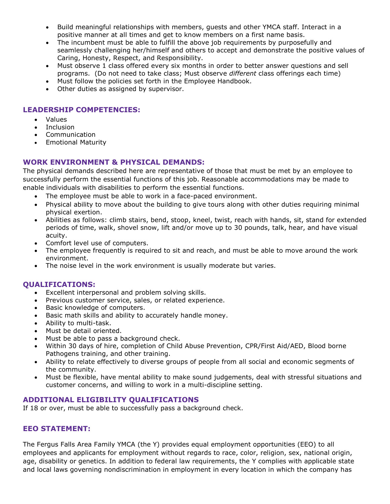- Build meaningful relationships with members, guests and other YMCA staff. Interact in a positive manner at all times and get to know members on a first name basis.
- The incumbent must be able to fulfill the above job requirements by purposefully and seamlessly challenging her/himself and others to accept and demonstrate the positive values of Caring, Honesty, Respect, and Responsibility.
- Must observe 1 class offered every six months in order to better answer questions and sell programs. (Do not need to take class; Must observe *different* class offerings each time)
- Must follow the policies set forth in the Employee Handbook.
- Other duties as assigned by supervisor.

# **LEADERSHIP COMPETENCIES:**

- Values
- **Inclusion**
- Communication
- Emotional Maturity

# **WORK ENVIRONMENT & PHYSICAL DEMANDS:**

The physical demands described here are representative of those that must be met by an employee to successfully perform the essential functions of this job. Reasonable accommodations may be made to enable individuals with disabilities to perform the essential functions.

- The employee must be able to work in a face-paced environment.
- Physical ability to move about the building to give tours along with other duties requiring minimal physical exertion.
- Abilities as follows: climb stairs, bend, stoop, kneel, twist, reach with hands, sit, stand for extended periods of time, walk, shovel snow, lift and/or move up to 30 pounds, talk, hear, and have visual acuity.
- Comfort level use of computers.
- The employee frequently is required to sit and reach, and must be able to move around the work environment.
- The noise level in the work environment is usually moderate but varies.

# **QUALIFICATIONS:**

- Excellent interpersonal and problem solving skills.
- Previous customer service, sales, or related experience.
- Basic knowledge of computers.
- Basic math skills and ability to accurately handle money.
- Ability to multi-task.
- Must be detail oriented.
- Must be able to pass a background check.
- Within 30 days of hire, completion of Child Abuse Prevention, CPR/First Aid/AED, Blood borne Pathogens training, and other training.
- Ability to relate effectively to diverse groups of people from all social and economic segments of the community.
- Must be flexible, have mental ability to make sound judgements, deal with stressful situations and customer concerns, and willing to work in a multi-discipline setting.

# **ADDITIONAL ELIGIBILITY QUALIFICATIONS**

If 18 or over, must be able to successfully pass a background check.

# **EEO STATEMENT:**

The Fergus Falls Area Family YMCA (the Y) provides equal employment opportunities (EEO) to all employees and applicants for employment without regards to race, color, religion, sex, national origin, age, disability or genetics. In addition to federal law requirements, the Y complies with applicable state and local laws governing nondiscrimination in employment in every location in which the company has